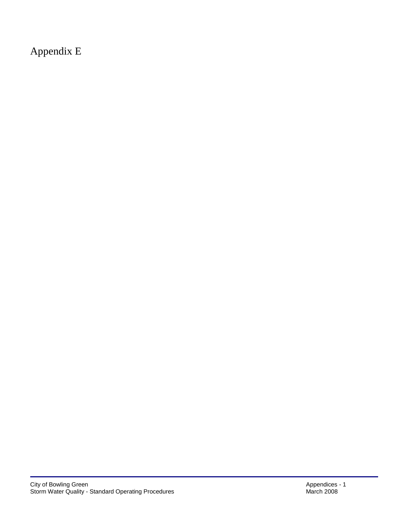Appendix E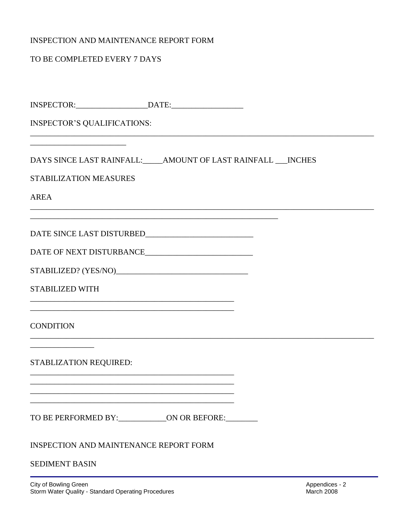## INSPECTION AND MAINTENANCE REPORT FORM

## TO BE COMPLETED EVERY 7 DAYS

| <b>INSPECTOR'S QUALIFICATIONS:</b>                           |                                                                                                                         |  |  |
|--------------------------------------------------------------|-------------------------------------------------------------------------------------------------------------------------|--|--|
|                                                              |                                                                                                                         |  |  |
| DAYS SINCE LAST RAINFALL: AMOUNT OF LAST RAINFALL ___ INCHES |                                                                                                                         |  |  |
| <b>STABILIZATION MEASURES</b>                                |                                                                                                                         |  |  |
| <b>AREA</b>                                                  |                                                                                                                         |  |  |
|                                                              |                                                                                                                         |  |  |
| DATE OF NEXT DISTURBANCE_______________________________      |                                                                                                                         |  |  |
|                                                              |                                                                                                                         |  |  |
| <b>STABILIZED WITH</b>                                       |                                                                                                                         |  |  |
| <b>CONDITION</b>                                             |                                                                                                                         |  |  |
| STABLIZATION REQUIRED:                                       | <u> 1980 - Johann John Stone, mars and de finland and de finland and de finland and definition of the second second</u> |  |  |
|                                                              |                                                                                                                         |  |  |
| TO BE PERFORMED BY: _______________ON OR BEFORE: ________    |                                                                                                                         |  |  |
| <b>INSPECTION AND MAINTENANCE REPORT FORM</b>                |                                                                                                                         |  |  |
| <b>SEDIMENT BASIN</b>                                        |                                                                                                                         |  |  |
|                                                              |                                                                                                                         |  |  |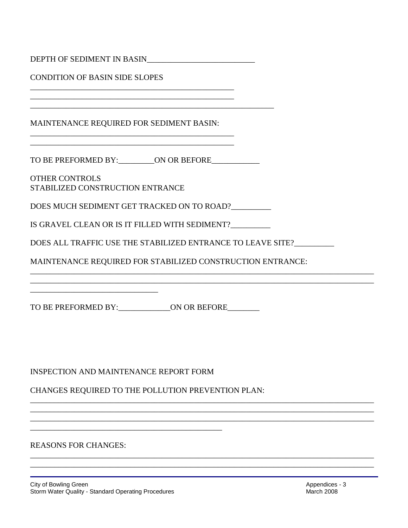| <b>CONDITION OF BASIN SIDE SLOPES</b>                       |  |  |  |  |
|-------------------------------------------------------------|--|--|--|--|
|                                                             |  |  |  |  |
| MAINTENANCE REQUIRED FOR SEDIMENT BASIN:                    |  |  |  |  |
| TO BE PREFORMED BY: __________ON OR BEFORE____________      |  |  |  |  |
| <b>OTHER CONTROLS</b><br>STABILIZED CONSTRUCTION ENTRANCE   |  |  |  |  |
| DOES MUCH SEDIMENT GET TRACKED ON TO ROAD?                  |  |  |  |  |
| IS GRAVEL CLEAN OR IS IT FILLED WITH SEDIMENT?_________     |  |  |  |  |
| DOES ALL TRAFFIC USE THE STABILIZED ENTRANCE TO LEAVE SITE? |  |  |  |  |
| MAINTENANCE REQUIRED FOR STABILIZED CONSTRUCTION ENTRANCE:  |  |  |  |  |
| TO BE PREFORMED BY: ______________ON OR BEFORE________      |  |  |  |  |
|                                                             |  |  |  |  |
| <b>INSPECTION AND MAINTENANCE REPORT FORM</b>               |  |  |  |  |
| CHANGES REQUIRED TO THE POLLUTION PREVENTION PLAN:          |  |  |  |  |
|                                                             |  |  |  |  |
|                                                             |  |  |  |  |
| <b>REASONS FOR CHANGES:</b>                                 |  |  |  |  |

\_\_\_\_\_\_\_\_\_\_\_\_\_\_\_\_\_\_\_\_\_\_\_\_\_\_\_\_\_\_\_\_\_\_\_\_\_\_\_\_\_\_\_\_\_\_\_\_\_\_\_\_\_\_\_\_\_\_\_\_\_\_\_\_\_\_\_\_\_\_\_\_\_\_\_\_\_\_\_\_\_\_\_\_\_\_